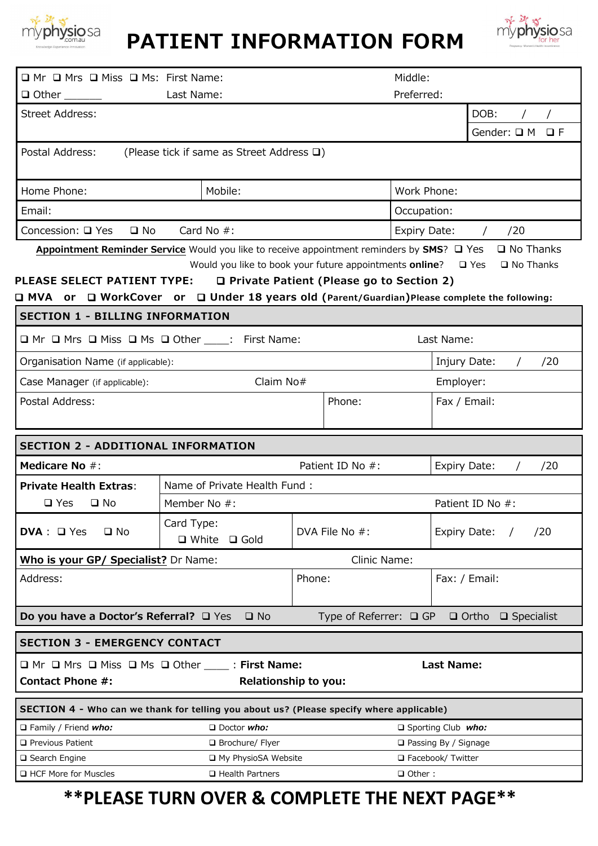

# **PATIENT INFORMATION FORM**



| □ Mr □ Mrs □ Miss □ Ms: First Name:                                                                                         | Middle:                                                                                                |                                                                                                                  |                                      |                                      |     |  |
|-----------------------------------------------------------------------------------------------------------------------------|--------------------------------------------------------------------------------------------------------|------------------------------------------------------------------------------------------------------------------|--------------------------------------|--------------------------------------|-----|--|
| Last Name:                                                                                                                  |                                                                                                        |                                                                                                                  | Preferred:                           |                                      |     |  |
| <b>Street Address:</b>                                                                                                      |                                                                                                        |                                                                                                                  |                                      | DOB:                                 |     |  |
|                                                                                                                             |                                                                                                        |                                                                                                                  |                                      | Gender: $\Box$ M $\Box$ F            |     |  |
| Postal Address:                                                                                                             | (Please tick if same as Street Address $\square$ )                                                     |                                                                                                                  |                                      |                                      |     |  |
| Home Phone:<br>Mobile:                                                                                                      |                                                                                                        |                                                                                                                  | Work Phone:                          |                                      |     |  |
| Email:                                                                                                                      |                                                                                                        |                                                                                                                  | Occupation:                          |                                      |     |  |
| Concession: □ Yes<br>$\square$ No                                                                                           |                                                                                                        | Expiry Date:<br>/20                                                                                              |                                      |                                      |     |  |
| PLEASE SELECT PATIENT TYPE:<br>□ MVA or □ WorkCover or □ Under 18 years old (Parent/Guardian)Please complete the following: | Appointment Reminder Service Would you like to receive appointment reminders by SMS? Q Yes Q No Thanks | Would you like to book your future appointments online? $\Box$ Yes<br>□ Private Patient (Please go to Section 2) |                                      | $\square$ No Thanks                  |     |  |
| <b>SECTION 1 - BILLING INFORMATION</b>                                                                                      |                                                                                                        |                                                                                                                  |                                      |                                      |     |  |
| □ Mr □ Mrs □ Miss □ Ms □ Other ____: First Name:                                                                            |                                                                                                        |                                                                                                                  | Last Name:                           |                                      |     |  |
| Organisation Name (if applicable):                                                                                          |                                                                                                        | Injury Date:                                                                                                     | /20                                  |                                      |     |  |
| Claim No#<br>Case Manager (if applicable):                                                                                  |                                                                                                        |                                                                                                                  | Employer:                            |                                      |     |  |
| Postal Address:                                                                                                             | Phone:                                                                                                 |                                                                                                                  | Fax / Email:                         |                                      |     |  |
|                                                                                                                             |                                                                                                        |                                                                                                                  |                                      |                                      |     |  |
| <b>SECTION 2 - ADDITIONAL INFORMATION</b>                                                                                   |                                                                                                        |                                                                                                                  |                                      |                                      |     |  |
| Medicare No #:                                                                                                              |                                                                                                        | Patient ID No #:                                                                                                 | Expiry Date:                         |                                      | /20 |  |
| <b>Private Health Extras:</b>                                                                                               | Name of Private Health Fund:                                                                           |                                                                                                                  |                                      |                                      |     |  |
| $\square$ Yes<br>$\square$ No                                                                                               | Member No #:                                                                                           |                                                                                                                  |                                      | Patient ID No #:                     |     |  |
| $DVA: \square$ Yes<br>$\square$ No                                                                                          | Card Type:<br>□ White<br>$\square$ Gold                                                                | DVA File No #:                                                                                                   | Expiry Date:                         |                                      | /20 |  |
| Who is your GP/ Specialist? Dr Name:                                                                                        |                                                                                                        | Clinic Name:                                                                                                     |                                      |                                      |     |  |
| Address:                                                                                                                    |                                                                                                        | Phone:                                                                                                           |                                      | Fax: / Email:                        |     |  |
| Do you have a Doctor's Referral? □ Yes                                                                                      | $\square$ No                                                                                           | Type of Referrer: $\Box$ GP                                                                                      |                                      | $\Box$ Ortho<br>$\square$ Specialist |     |  |
| <b>SECTION 3 - EMERGENCY CONTACT</b>                                                                                        |                                                                                                        |                                                                                                                  |                                      |                                      |     |  |
| $\Box$ Mr $\Box$ Mrs $\Box$ Miss $\Box$ Ms $\Box$ Other _____ : First Name:                                                 |                                                                                                        |                                                                                                                  | <b>Last Name:</b>                    |                                      |     |  |
| <b>Contact Phone #:</b>                                                                                                     |                                                                                                        | <b>Relationship to you:</b>                                                                                      |                                      |                                      |     |  |
| SECTION 4 - Who can we thank for telling you about us? (Please specify where applicable)                                    |                                                                                                        |                                                                                                                  |                                      |                                      |     |  |
| Family / Friend who:                                                                                                        | $\Box$ Doctor who:                                                                                     |                                                                                                                  | Sporting Club who:                   |                                      |     |  |
| □ Previous Patient                                                                                                          | $\Box$ Brochure/ Flyer                                                                                 |                                                                                                                  | $\Box$ Passing By / Signage          |                                      |     |  |
| $\Box$ Search Engine<br>HCF More for Muscles                                                                                | □ My PhysioSA Website<br>□ Health Partners                                                             |                                                                                                                  | □ Facebook/ Twitter<br>$\Box$ Other: |                                      |     |  |

# **\*\*PLEASE TURN OVER & COMPLETE THE NEXT PAGE\*\***